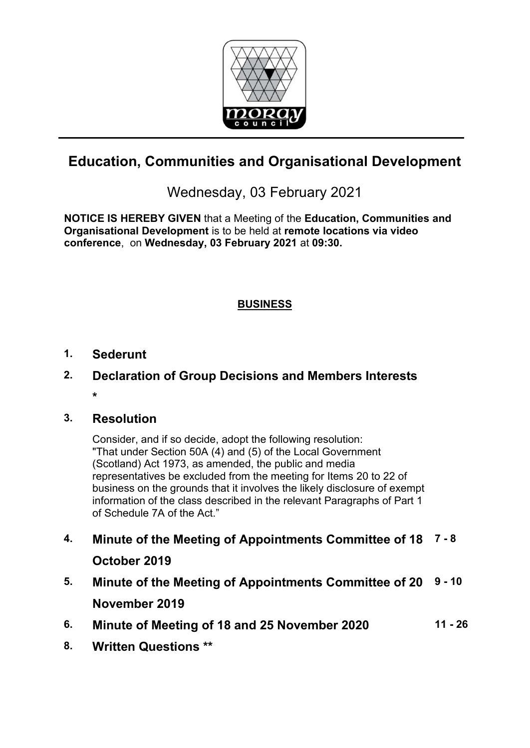

# **Education, Communities and Organisational Development**

# Wednesday, 03 February 2021

**NOTICE IS HEREBY GIVEN** that a Meeting of the **Education, Communities and Organisational Development** is to be held at **remote locations via video conference**, on **Wednesday, 03 February 2021** at **09:30.** 

## **BUSINESS**

## **1. Sederunt**

**2. Declaration of Group Decisions and Members Interests \*** 

## **3. Resolution**

Consider, and if so decide, adopt the following resolution: "That under Section 50A (4) and (5) of the Local Government (Scotland) Act 1973, as amended, the public and media representatives be excluded from the meeting for Items 20 to 22 of business on the grounds that it involves the likely disclosure of exempt information of the class described in the relevant Paragraphs of Part 1 of Schedule 7A of the Act."

- **4. Minute of the Meeting of Appointments Committee of 18 7 8 October 2019**
- **5. Minute of the Meeting of Appointments Committee of 20 9 10 November 2019**
- **6. Minute of Meeting of 18 and 25 November 2020 11 26**
- **8. Written Questions \*\***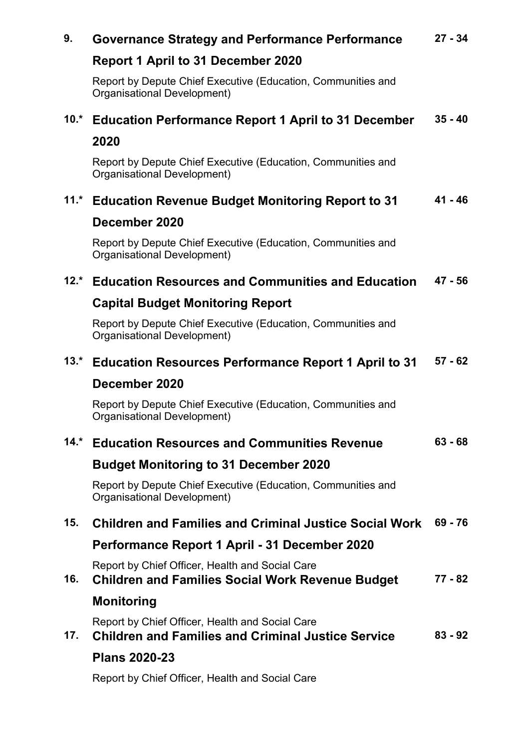#### **9. Governance Strategy and Performance Performance 27 - 34**

## **Report 1 April to 31 December 2020**

Report by Depute Chief Executive (Education, Communities and Organisational Development)

#### **10.\* Education Performance Report 1 April to 31 December 35 - 40**

### **2020**

Report by Depute Chief Executive (Education, Communities and Organisational Development)

#### **11.\* Education Revenue Budget Monitoring Report to 31 41 - 46**

### **December 2020**

Report by Depute Chief Executive (Education, Communities and Organisational Development)

#### **12.\* Education Resources and Communities and Education 47 - 56**

### **Capital Budget Monitoring Report**

Report by Depute Chief Executive (Education, Communities and Organisational Development)

#### **13.\* Education Resources Performance Report 1 April to 31 57 - 62**

### **December 2020**

Report by Depute Chief Executive (Education, Communities and Organisational Development)

#### **14.\* Education Resources and Communities Revenue 63 - 68**

## **Budget Monitoring to 31 December 2020**

Report by Depute Chief Executive (Education, Communities and Organisational Development)

#### **15. Children and Families and Criminal Justice Social Work 69 - 76**

## **Performance Report 1 April - 31 December 2020**

Report by Chief Officer, Health and Social Care

**16. Children and Families Social Work Revenue Budget Monitoring 77 - 82**

Report by Chief Officer, Health and Social Care

**17. Children and Families and Criminal Justice Service 83 - 92**

### **Plans 2020-23**

Report by Chief Officer, Health and Social Care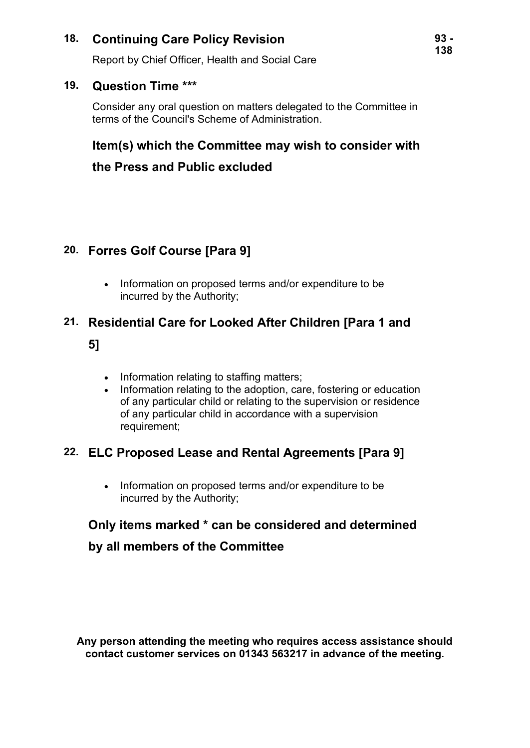## **18. Continuing Care Policy Revision**

Report by Chief Officer, Health and Social Care

### **19. Question Time \*\*\***

Consider any oral question on matters delegated to the Committee in terms of the Council's Scheme of Administration.

## **Item(s) which the Committee may wish to consider with**

## **the Press and Public excluded**

## **20. Forres Golf Course [Para 9]**

• Information on proposed terms and/or expenditure to be incurred by the Authority;

# **21. Residential Care for Looked After Children [Para 1 and 5]**

- Information relating to staffing matters;
- Information relating to the adoption, care, fostering or education of any particular child or relating to the supervision or residence of any particular child in accordance with a supervision requirement;

## **22. ELC Proposed Lease and Rental Agreements [Para 9]**

• Information on proposed terms and/or expenditure to be incurred by the Authority;

## **Only items marked \* can be considered and determined**

## **by all members of the Committee**

**Any person attending the meeting who requires access assistance should contact customer services on 01343 563217 in advance of the meeting.**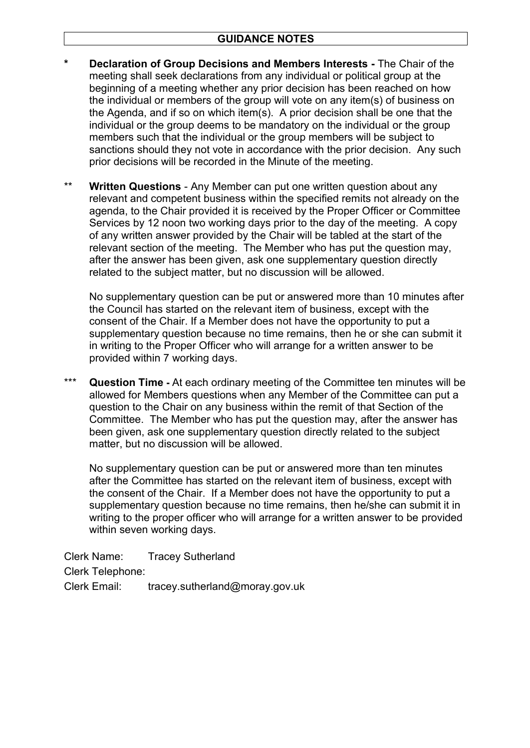- **\* Declaration of Group Decisions and Members Interests** The Chair of the meeting shall seek declarations from any individual or political group at the beginning of a meeting whether any prior decision has been reached on how the individual or members of the group will vote on any item(s) of business on the Agenda, and if so on which item(s). A prior decision shall be one that the individual or the group deems to be mandatory on the individual or the group members such that the individual or the group members will be subject to sanctions should they not vote in accordance with the prior decision. Any such prior decisions will be recorded in the Minute of the meeting.
- \*\* **Written Questions** Any Member can put one written question about any relevant and competent business within the specified remits not already on the agenda, to the Chair provided it is received by the Proper Officer or Committee Services by 12 noon two working days prior to the day of the meeting. A copy of any written answer provided by the Chair will be tabled at the start of the relevant section of the meeting. The Member who has put the question may, after the answer has been given, ask one supplementary question directly related to the subject matter, but no discussion will be allowed.

No supplementary question can be put or answered more than 10 minutes after the Council has started on the relevant item of business, except with the consent of the Chair. If a Member does not have the opportunity to put a supplementary question because no time remains, then he or she can submit it in writing to the Proper Officer who will arrange for a written answer to be provided within 7 working days.

\*\*\* **Question Time -** At each ordinary meeting of the Committee ten minutes will be allowed for Members questions when any Member of the Committee can put a question to the Chair on any business within the remit of that Section of the Committee. The Member who has put the question may, after the answer has been given, ask one supplementary question directly related to the subject matter, but no discussion will be allowed.

No supplementary question can be put or answered more than ten minutes after the Committee has started on the relevant item of business, except with the consent of the Chair. If a Member does not have the opportunity to put a supplementary question because no time remains, then he/she can submit it in writing to the proper officer who will arrange for a written answer to be provided within seven working days.

Clerk Name: Tracey Sutherland Clerk Telephone: Clerk Email: tracey.sutherland@moray.gov.uk